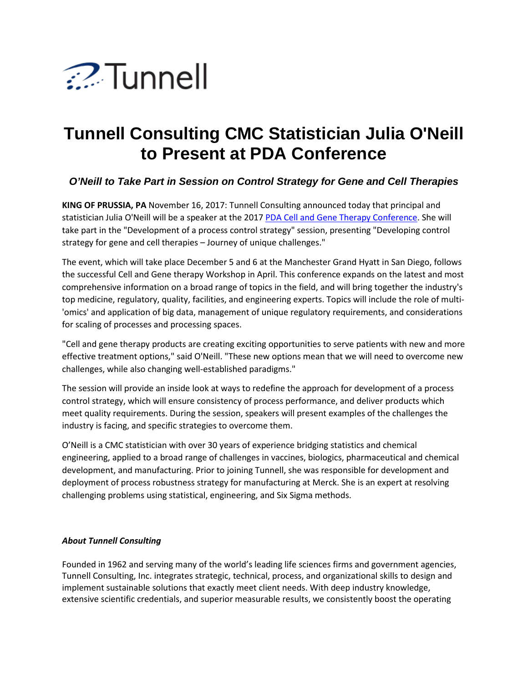

## **Tunnell Consulting CMC Statistician Julia O'Neill to Present at PDA Conference**

## *O'Neill to Take Part in Session on Control Strategy for Gene and Cell Therapies*

**KING OF PRUSSIA, PA** November 16, 2017: Tunnell Consulting announced today that principal and statistician Julia O'Neill will be a speaker at the 2017 [PDA Cell and Gene Therapy Conference.](https://www.pda.org/global-event-calendar/event-detail/2017-pda-cell-and-gene-therapy-conference) She will take part in the "Development of a process control strategy" session, presenting "Developing control strategy for gene and cell therapies – Journey of unique challenges."

The event, which will take place December 5 and 6 at the Manchester Grand Hyatt in San Diego, follows the successful Cell and Gene therapy Workshop in April. This conference expands on the latest and most comprehensive information on a broad range of topics in the field, and will bring together the industry's top medicine, regulatory, quality, facilities, and engineering experts. Topics will include the role of multi- 'omics' and application of big data, management of unique regulatory requirements, and considerations for scaling of processes and processing spaces.

"Cell and gene therapy products are creating exciting opportunities to serve patients with new and more effective treatment options," said O'Neill. "These new options mean that we will need to overcome new challenges, while also changing well-established paradigms."

The session will provide an inside look at ways to redefine the approach for development of a process control strategy, which will ensure consistency of process performance, and deliver products which meet quality requirements. During the session, speakers will present examples of the challenges the industry is facing, and specific strategies to overcome them.

O'Neill is a CMC statistician with over 30 years of experience bridging statistics and chemical engineering, applied to a broad range of challenges in vaccines, biologics, pharmaceutical and chemical development, and manufacturing. Prior to joining Tunnell, she was responsible for development and deployment of process robustness strategy for manufacturing at Merck. She is an expert at resolving challenging problems using statistical, engineering, and Six Sigma methods.

## *About Tunnell Consulting*

Founded in 1962 and serving many of the world's leading life sciences firms and government agencies, Tunnell Consulting, Inc. integrates strategic, technical, process, and organizational skills to design and implement sustainable solutions that exactly meet client needs. With deep industry knowledge, extensive scientific credentials, and superior measurable results, we consistently boost the operating